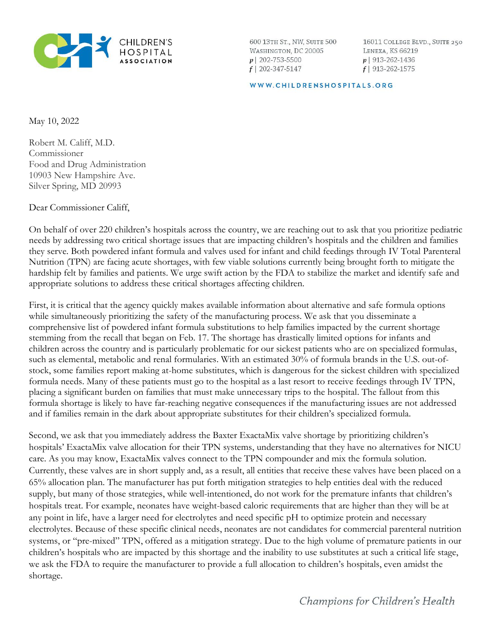

600 13TH ST., NW, SUITE 500 WASHINGTON, DC 20005  $p$ | 202-753-5500  $f$  | 202-347-5147

16011 COLLEGE BLVD., SUITE 250 LENEXA, KS 66219  $p$ | 913-262-1436  $f$ | 913-262-1575

WWW.CHILDRENSHOSPITALS.ORG

May 10, 2022

Robert M. Califf, M.D. Commissioner Food and Drug Administration 10903 New Hampshire Ave. Silver Spring, MD 20993

Dear Commissioner Califf,

On behalf of over 220 children's hospitals across the country, we are reaching out to ask that you prioritize pediatric needs by addressing two critical shortage issues that are impacting children's hospitals and the children and families they serve. Both powdered infant formula and valves used for infant and child feedings through IV Total Parenteral Nutrition (TPN) are facing acute shortages, with few viable solutions currently being brought forth to mitigate the hardship felt by families and patients. We urge swift action by the FDA to stabilize the market and identify safe and appropriate solutions to address these critical shortages affecting children.

First, it is critical that the agency quickly makes available information about alternative and safe formula options while simultaneously prioritizing the safety of the manufacturing process. We ask that you disseminate a comprehensive list of powdered infant formula substitutions to help families impacted by the current shortage stemming from the recall that began on Feb. 17. The shortage has drastically limited options for infants and children across the country and is particularly problematic for our sickest patients who are on specialized formulas, such as elemental, metabolic and renal formularies. With an estimated 30% of formula brands in the U.S. out-ofstock, some families report making at-home substitutes, which is dangerous for the sickest children with specialized formula needs. Many of these patients must go to the hospital as a last resort to receive feedings through IV TPN, placing a significant burden on families that must make unnecessary trips to the hospital. The fallout from this formula shortage is likely to have far-reaching negative consequences if the manufacturing issues are not addressed and if families remain in the dark about appropriate substitutes for their children's specialized formula.

Second, we ask that you immediately address the Baxter ExactaMix valve shortage by prioritizing children's hospitals' ExactaMix valve allocation for their TPN systems, understanding that they have no alternatives for NICU care. As you may know, ExactaMix valves connect to the TPN compounder and mix the formula solution. Currently, these valves are in short supply and, as a result, all entities that receive these valves have been placed on a 65% allocation plan. The manufacturer has put forth mitigation strategies to help entities deal with the reduced supply, but many of those strategies, while well-intentioned, do not work for the premature infants that children's hospitals treat. For example, neonates have weight-based caloric requirements that are higher than they will be at any point in life, have a larger need for electrolytes and need specific pH to optimize protein and necessary electrolytes. Because of these specific clinical needs, neonates are not candidates for commercial parenteral nutrition systems, or "pre-mixed" TPN, offered as a mitigation strategy. Due to the high volume of premature patients in our children's hospitals who are impacted by this shortage and the inability to use substitutes at such a critical life stage, we ask the FDA to require the manufacturer to provide a full allocation to children's hospitals, even amidst the shortage.